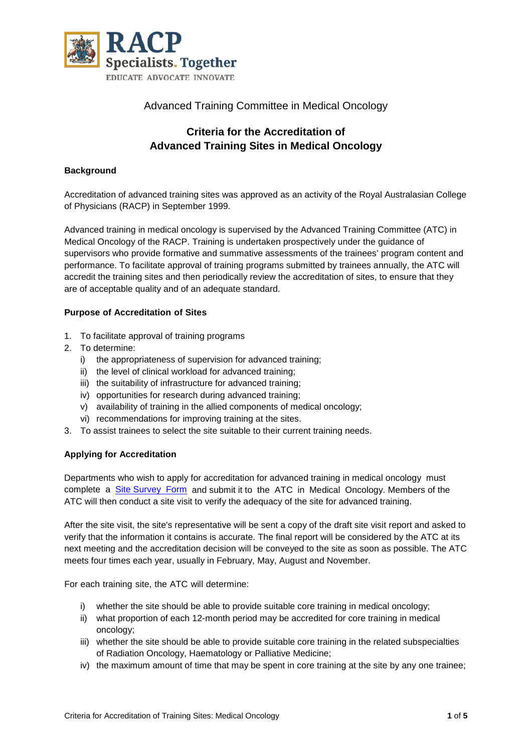

### Advanced Training Committee in Medical Oncology

# **Criteria for the Accreditation of Advanced Training Sites in Medical Oncology**

#### **Background**

Accreditation of advanced training sites was approved as an activity of the Royal Australasian College of Physicians (RACP) in September 1999.

Advanced training in medical oncology is supervised by the Advanced Training Committee (ATC) in Medical Oncology of the RACP. Training is undertaken prospectively under the guidance of supervisors who provide formative and summative assessments of the trainees' program content and performance. To facilitate approval of training programs submitted by trainees annually, the ATC will accredit the training sites and then periodically review the accreditation of sites, to ensure that they are of acceptable quality and of an adequate standard.

#### **Purpose of Accreditation of Sites**

- 1. To facilitate approval of training programs
- 2. To determine:
	- i) the appropriateness of supervision for advanced training;
	- ii) the level of clinical workload for advanced training;
	- iii) the suitability of infrastructure for advanced training;
	- iv) opportunities for research during advanced training;
	- v) availability of training in the allied components of medical oncology;
	- vi) recommendations for improving training at the sites.
- 3. To assist trainees to select the site suitable to their current training needs.

#### **Applying for Accreditation**

Departments who wish to apply for accreditation for advanced training in medical oncology must complete a [Site Survey Form](https://www.racp.edu.au/trainees/getting-a-training-site-accredited) and submit it to the ATC in Medical Oncology. Members of the ATC will then conduct a site visit to verify the adequacy of the site for advanced training.

After the site visit, the site's representative will be sent a copy of the draft site visit report and asked to verify that the information it contains is accurate. The final report will be considered by the ATC at its next meeting and the accreditation decision will be conveyed to the site as soon as possible. The ATC meets four times each year, usually in February, May, August and November.

For each training site, the ATC will determine:

- i) whether the site should be able to provide suitable core training in medical oncology;
- ii) what proportion of each 12-month period may be accredited for core training in medical oncology;
- iii) whether the site should be able to provide suitable core training in the related subspecialties of Radiation Oncology, Haematology or Palliative Medicine;
- iv) the maximum amount of time that may be spent in core training at the site by any one trainee;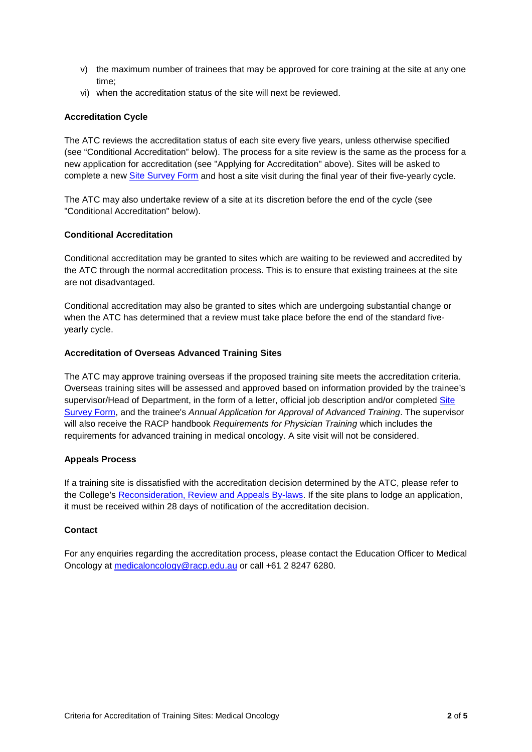- v) the maximum number of trainees that may be approved for core training at the site at any one time;
- vi) when the accreditation status of the site will next be reviewed.

#### **Accreditation Cycle**

The ATC reviews the accreditation status of each site every five years, unless otherwise specified (see "Conditional Accreditation" below). The process for a site review is the same as the process for a new application for accreditation (see "Applying for Accreditation" above). Sites will be asked to complete a new [Site Survey Form](https://www.racp.edu.au/trainees/getting-a-training-site-accredited) and host a site visit during the final year of their five-yearly cycle.

The ATC may also undertake review of a site at its discretion before the end of the cycle (see "Conditional Accreditation" below).

#### **Conditional Accreditation**

Conditional accreditation may be granted to sites which are waiting to be reviewed and accredited by the ATC through the normal accreditation process. This is to ensure that existing trainees at the site are not disadvantaged.

Conditional accreditation may also be granted to sites which are undergoing substantial change or when the ATC has determined that a review must take place before the end of the standard fiveyearly cycle.

#### **Accreditation of Overseas Advanced Training Sites**

The ATC may approve training overseas if the proposed training site meets the accreditation criteria. Overseas training sites will be assessed and approved based on information provided by the trainee's supervisor/Head of Department, in the form of a letter, official job description and/or completed Site [Survey Form,](https://www.racp.edu.au/trainees/getting-a-training-site-accredited) and the trainee's *Annual Application for Approval of Advanced Training*. The supervisor will also receive the RACP handbook *Requirements for Physician Training* which includes the requirements for advanced training in medical oncology. A site visit will not be considered.

#### **Appeals Process**

If a training site is dissatisfied with the accreditation decision determined by the ATC, please refer to the College's [Reconsideration, Review and Appeals By-laws.](https://www.racp.edu.au/trainees/education-policies-and-governance/education-policy) If the site plans to lodge an application, it must be received within 28 days of notification of the accreditation decision.

#### **Contact**

For any enquiries regarding the accreditation process, please contact the Education Officer to Medical Oncology at [medicaloncology@racp.edu.au](mailto:medicaloncology@racp.edu.au) or call +61 2 8247 6280.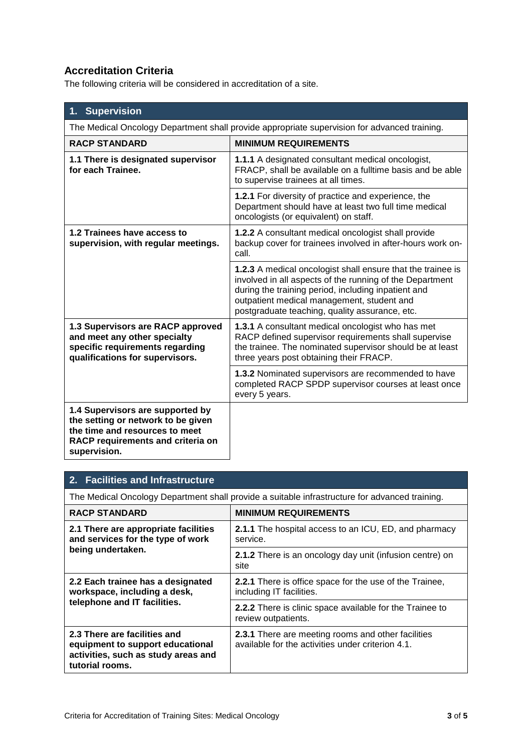# **Accreditation Criteria**

The following criteria will be considered in accreditation of a site.

| <b>Supervision</b>                                                                                                                                            |                                                                                                                                                                                                                                                                                |  |
|---------------------------------------------------------------------------------------------------------------------------------------------------------------|--------------------------------------------------------------------------------------------------------------------------------------------------------------------------------------------------------------------------------------------------------------------------------|--|
| The Medical Oncology Department shall provide appropriate supervision for advanced training.                                                                  |                                                                                                                                                                                                                                                                                |  |
| <b>RACP STANDARD</b>                                                                                                                                          | <b>MINIMUM REQUIREMENTS</b>                                                                                                                                                                                                                                                    |  |
| 1.1 There is designated supervisor<br>for each Trainee.                                                                                                       | <b>1.1.1</b> A designated consultant medical oncologist,<br>FRACP, shall be available on a fulltime basis and be able<br>to supervise trainees at all times.                                                                                                                   |  |
|                                                                                                                                                               | 1.2.1 For diversity of practice and experience, the<br>Department should have at least two full time medical<br>oncologists (or equivalent) on staff.                                                                                                                          |  |
| 1.2 Trainees have access to<br>supervision, with regular meetings.                                                                                            | 1.2.2 A consultant medical oncologist shall provide<br>backup cover for trainees involved in after-hours work on-<br>call.                                                                                                                                                     |  |
|                                                                                                                                                               | 1.2.3 A medical oncologist shall ensure that the trainee is<br>involved in all aspects of the running of the Department<br>during the training period, including inpatient and<br>outpatient medical management, student and<br>postgraduate teaching, quality assurance, etc. |  |
| 1.3 Supervisors are RACP approved<br>and meet any other specialty<br>specific requirements regarding<br>qualifications for supervisors.                       | 1.3.1 A consultant medical oncologist who has met<br>RACP defined supervisor requirements shall supervise<br>the trainee. The nominated supervisor should be at least<br>three years post obtaining their FRACP.                                                               |  |
|                                                                                                                                                               | 1.3.2 Nominated supervisors are recommended to have<br>completed RACP SPDP supervisor courses at least once<br>every 5 years.                                                                                                                                                  |  |
| 1.4 Supervisors are supported by<br>the setting or network to be given<br>the time and resources to meet<br>RACP requirements and criteria on<br>supervision. |                                                                                                                                                                                                                                                                                |  |

### **2. Facilities and Infrastructure**

The Medical Oncology Department shall provide a suitable infrastructure for advanced training.

| <b>RACP STANDARD</b>                                                                                                       | <b>MINIMUM REQUIREMENTS</b>                                                                             |
|----------------------------------------------------------------------------------------------------------------------------|---------------------------------------------------------------------------------------------------------|
| 2.1 There are appropriate facilities<br>and services for the type of work<br>being undertaken.                             | <b>2.1.1</b> The hospital access to an ICU, ED, and pharmacy<br>service.                                |
|                                                                                                                            | <b>2.1.2</b> There is an oncology day unit (infusion centre) on<br>site                                 |
| 2.2 Each trainee has a designated<br>workspace, including a desk,<br>telephone and IT facilities.                          | <b>2.2.1</b> There is office space for the use of the Trainee,<br>including IT facilities.              |
|                                                                                                                            | 2.2.2 There is clinic space available for the Trainee to<br>review outpatients.                         |
| 2.3 There are facilities and<br>equipment to support educational<br>activities, such as study areas and<br>tutorial rooms. | 2.3.1 There are meeting rooms and other facilities<br>available for the activities under criterion 4.1. |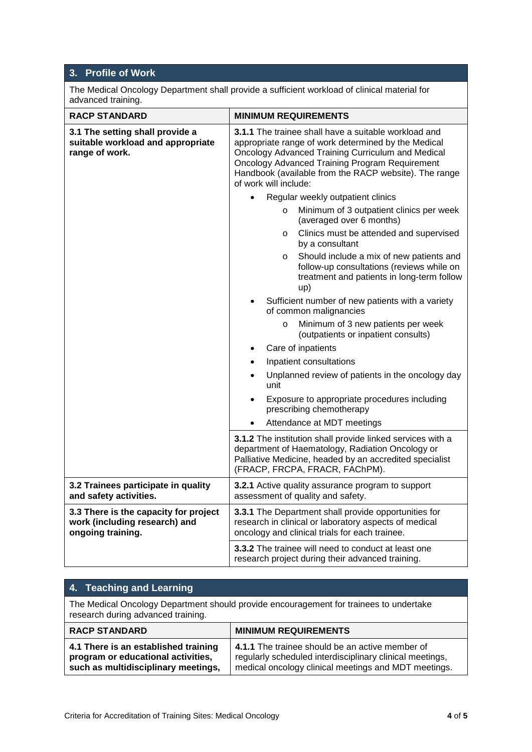## **3. Profile of Work**

The Medical Oncology Department shall provide a sufficient workload of clinical material for advanced training.

| <b>RACP STANDARD</b>                                                                        | <b>MINIMUM REQUIREMENTS</b>                                                                                                                                                                                                                                                                                        |
|---------------------------------------------------------------------------------------------|--------------------------------------------------------------------------------------------------------------------------------------------------------------------------------------------------------------------------------------------------------------------------------------------------------------------|
| 3.1 The setting shall provide a<br>suitable workload and appropriate<br>range of work.      | <b>3.1.1</b> The trainee shall have a suitable workload and<br>appropriate range of work determined by the Medical<br>Oncology Advanced Training Curriculum and Medical<br><b>Oncology Advanced Training Program Requirement</b><br>Handbook (available from the RACP website). The range<br>of work will include: |
|                                                                                             | Regular weekly outpatient clinics                                                                                                                                                                                                                                                                                  |
|                                                                                             | Minimum of 3 outpatient clinics per week<br>$\circ$<br>(averaged over 6 months)                                                                                                                                                                                                                                    |
|                                                                                             | Clinics must be attended and supervised<br>$\circ$<br>by a consultant                                                                                                                                                                                                                                              |
|                                                                                             | Should include a mix of new patients and<br>O<br>follow-up consultations (reviews while on<br>treatment and patients in long-term follow<br>up)                                                                                                                                                                    |
|                                                                                             | Sufficient number of new patients with a variety<br>of common malignancies                                                                                                                                                                                                                                         |
|                                                                                             | Minimum of 3 new patients per week<br>$\circ$<br>(outpatients or inpatient consults)                                                                                                                                                                                                                               |
|                                                                                             | Care of inpatients<br>$\bullet$                                                                                                                                                                                                                                                                                    |
|                                                                                             | Inpatient consultations<br>$\bullet$                                                                                                                                                                                                                                                                               |
|                                                                                             | Unplanned review of patients in the oncology day<br>$\bullet$<br>unit                                                                                                                                                                                                                                              |
|                                                                                             | Exposure to appropriate procedures including<br>$\bullet$<br>prescribing chemotherapy                                                                                                                                                                                                                              |
|                                                                                             | Attendance at MDT meetings                                                                                                                                                                                                                                                                                         |
|                                                                                             | 3.1.2 The institution shall provide linked services with a<br>department of Haematology, Radiation Oncology or<br>Palliative Medicine, headed by an accredited specialist<br>(FRACP, FRCPA, FRACR, FAChPM).                                                                                                        |
| 3.2 Trainees participate in quality<br>and safety activities.                               | 3.2.1 Active quality assurance program to support<br>assessment of quality and safety.                                                                                                                                                                                                                             |
| 3.3 There is the capacity for project<br>work (including research) and<br>ongoing training. | 3.3.1 The Department shall provide opportunities for<br>research in clinical or laboratory aspects of medical<br>oncology and clinical trials for each trainee.                                                                                                                                                    |
|                                                                                             | 3.3.2 The trainee will need to conduct at least one<br>research project during their advanced training.                                                                                                                                                                                                            |

| 4. Teaching and Learning                                                                                                     |                                                                                                                                                                     |
|------------------------------------------------------------------------------------------------------------------------------|---------------------------------------------------------------------------------------------------------------------------------------------------------------------|
| The Medical Oncology Department should provide encouragement for trainees to undertake<br>research during advanced training. |                                                                                                                                                                     |
| <b>RACP STANDARD</b>                                                                                                         | <b>MINIMUM REQUIREMENTS</b>                                                                                                                                         |
| 4.1 There is an established training<br>program or educational activities,<br>such as multidisciplinary meetings,            | 4.1.1 The trainee should be an active member of<br>regularly scheduled interdisciplinary clinical meetings,<br>medical oncology clinical meetings and MDT meetings. |